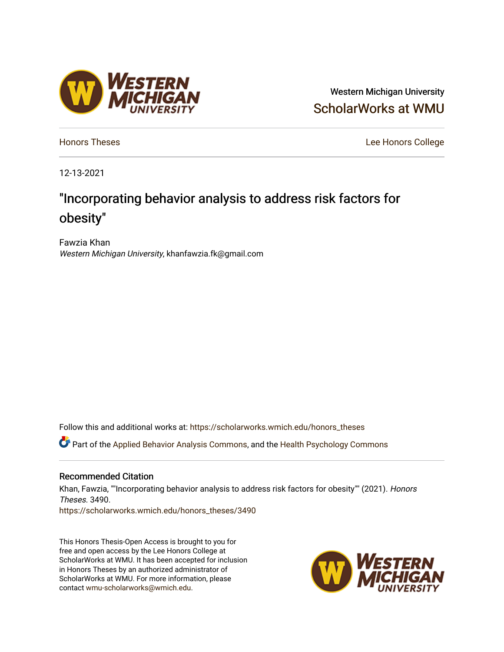# Western Michigan University [ScholarWorks at WMU](https://scholarworks.wmich.edu/)

**[Honors Theses](https://scholarworks.wmich.edu/honors_theses)** Lee Honors College

12-13-2021

# "Incorporating behavior analysis to address risk factors for obesity"

Fawzia Khan Western Michigan University, khanfawzia.fk@gmail.com

Follow this and additional works at: [https://scholarworks.wmich.edu/honors\\_theses](https://scholarworks.wmich.edu/honors_theses?utm_source=scholarworks.wmich.edu%2Fhonors_theses%2F3490&utm_medium=PDF&utm_campaign=PDFCoverPages)

Part of the [Applied Behavior Analysis Commons](http://network.bepress.com/hgg/discipline/1235?utm_source=scholarworks.wmich.edu%2Fhonors_theses%2F3490&utm_medium=PDF&utm_campaign=PDFCoverPages), and the [Health Psychology Commons](http://network.bepress.com/hgg/discipline/411?utm_source=scholarworks.wmich.edu%2Fhonors_theses%2F3490&utm_medium=PDF&utm_campaign=PDFCoverPages) 

#### Recommended Citation

Khan, Fawzia, ""Incorporating behavior analysis to address risk factors for obesity"" (2021). Honors Theses. 3490. [https://scholarworks.wmich.edu/honors\\_theses/3490](https://scholarworks.wmich.edu/honors_theses/3490?utm_source=scholarworks.wmich.edu%2Fhonors_theses%2F3490&utm_medium=PDF&utm_campaign=PDFCoverPages) 

This Honors Thesis-Open Access is brought to you for free and open access by the Lee Honors College at ScholarWorks at WMU. It has been accepted for inclusion in Honors Theses by an authorized administrator of ScholarWorks at WMU. For more information, please contact [wmu-scholarworks@wmich.edu](mailto:wmu-scholarworks@wmich.edu).



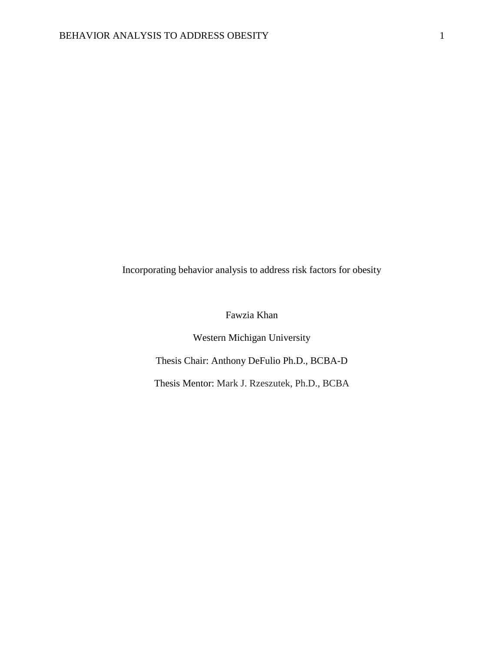Incorporating behavior analysis to address risk factors for obesity

Fawzia Khan

Western Michigan University Thesis Chair: Anthony DeFulio Ph.D., BCBA-D Thesis Mentor: Mark J. Rzeszutek, Ph.D., BCBA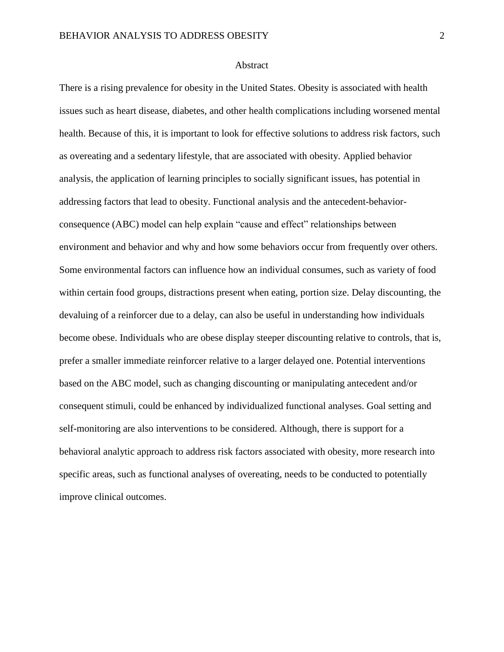#### **Abstract**

There is a rising prevalence for obesity in the United States. Obesity is associated with health issues such as heart disease, diabetes, and other health complications including worsened mental health. Because of this, it is important to look for effective solutions to address risk factors, such as overeating and a sedentary lifestyle, that are associated with obesity. Applied behavior analysis, the application of learning principles to socially significant issues, has potential in addressing factors that lead to obesity. Functional analysis and the antecedent-behaviorconsequence (ABC) model can help explain "cause and effect" relationships between environment and behavior and why and how some behaviors occur from frequently over others. Some environmental factors can influence how an individual consumes, such as variety of food within certain food groups, distractions present when eating, portion size. Delay discounting, the devaluing of a reinforcer due to a delay, can also be useful in understanding how individuals become obese. Individuals who are obese display steeper discounting relative to controls, that is, prefer a smaller immediate reinforcer relative to a larger delayed one. Potential interventions based on the ABC model, such as changing discounting or manipulating antecedent and/or consequent stimuli, could be enhanced by individualized functional analyses. Goal setting and self-monitoring are also interventions to be considered. Although, there is support for a behavioral analytic approach to address risk factors associated with obesity, more research into specific areas, such as functional analyses of overeating, needs to be conducted to potentially improve clinical outcomes.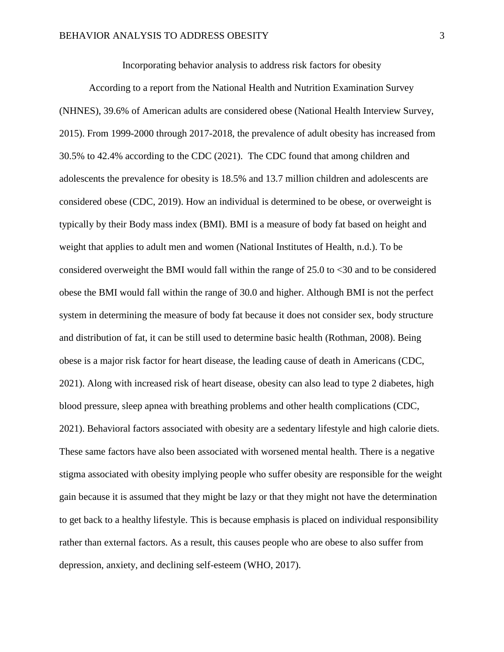Incorporating behavior analysis to address risk factors for obesity

According to a report from the National Health and Nutrition Examination Survey (NHNES), 39.6% of American adults are considered obese (National Health Interview Survey, 2015). From 1999-2000 through 2017-2018, the prevalence of adult obesity has increased from 30.5% to 42.4% according to the CDC (2021). The CDC found that among children and adolescents the prevalence for obesity is 18.5% and 13.7 million children and adolescents are considered obese (CDC, 2019). How an individual is determined to be obese, or overweight is typically by their Body mass index (BMI). BMI is a measure of body fat based on height and weight that applies to adult men and women (National Institutes of Health, n.d.). To be considered overweight the BMI would fall within the range of 25.0 to <30 and to be considered obese the BMI would fall within the range of 30.0 and higher. Although BMI is not the perfect system in determining the measure of body fat because it does not consider sex, body structure and distribution of fat, it can be still used to determine basic health (Rothman, 2008). Being obese is a major risk factor for heart disease, the leading cause of death in Americans (CDC, 2021). Along with increased risk of heart disease, obesity can also lead to type 2 diabetes, high blood pressure, sleep apnea with breathing problems and other health complications (CDC, 2021). Behavioral factors associated with obesity are a sedentary lifestyle and high calorie diets. These same factors have also been associated with worsened mental health. There is a negative stigma associated with obesity implying people who suffer obesity are responsible for the weight gain because it is assumed that they might be lazy or that they might not have the determination to get back to a healthy lifestyle. This is because emphasis is placed on individual responsibility rather than external factors. As a result, this causes people who are obese to also suffer from depression, anxiety, and declining self-esteem (WHO, 2017).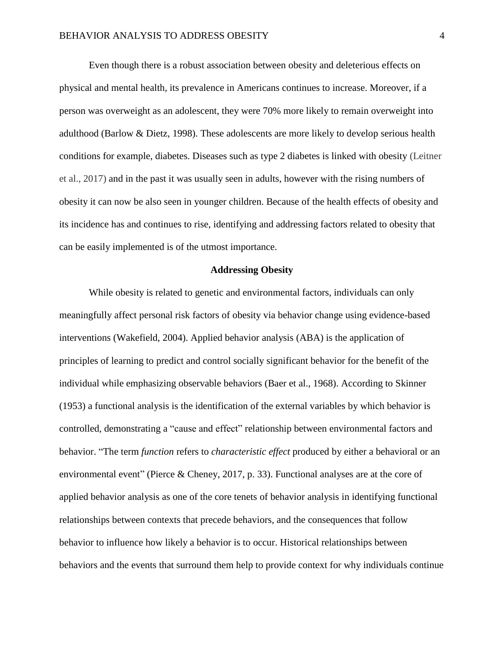Even though there is a robust association between obesity and deleterious effects on physical and mental health, its prevalence in Americans continues to increase. Moreover, if a person was overweight as an adolescent, they were 70% more likely to remain overweight into adulthood (Barlow & Dietz, 1998). These adolescents are more likely to develop serious health conditions for example, diabetes. Diseases such as type 2 diabetes is linked with obesity (Leitner et al., 2017) and in the past it was usually seen in adults, however with the rising numbers of obesity it can now be also seen in younger children. Because of the health effects of obesity and its incidence has and continues to rise, identifying and addressing factors related to obesity that can be easily implemented is of the utmost importance.

#### **Addressing Obesity**

While obesity is related to genetic and environmental factors, individuals can only meaningfully affect personal risk factors of obesity via behavior change using evidence-based interventions (Wakefield, 2004). Applied behavior analysis (ABA) is the application of principles of learning to predict and control socially significant behavior for the benefit of the individual while emphasizing observable behaviors (Baer et al., 1968). According to Skinner (1953) a functional analysis is the identification of the external variables by which behavior is controlled, demonstrating a "cause and effect" relationship between environmental factors and behavior. "The term *function* refers to *characteristic effect* produced by either a behavioral or an environmental event" (Pierce & Cheney, 2017, p. 33). Functional analyses are at the core of applied behavior analysis as one of the core tenets of behavior analysis in identifying functional relationships between contexts that precede behaviors, and the consequences that follow behavior to influence how likely a behavior is to occur. Historical relationships between behaviors and the events that surround them help to provide context for why individuals continue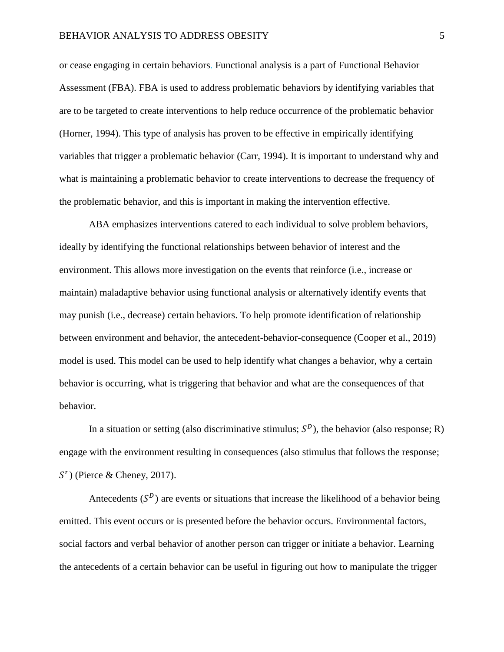or cease engaging in certain behaviors. Functional analysis is a part of Functional Behavior Assessment (FBA). FBA is used to address problematic behaviors by identifying variables that are to be targeted to create interventions to help reduce occurrence of the problematic behavior (Horner, 1994). This type of analysis has proven to be effective in empirically identifying variables that trigger a problematic behavior (Carr, 1994). It is important to understand why and what is maintaining a problematic behavior to create interventions to decrease the frequency of the problematic behavior, and this is important in making the intervention effective.

ABA emphasizes interventions catered to each individual to solve problem behaviors, ideally by identifying the functional relationships between behavior of interest and the environment. This allows more investigation on the events that reinforce (i.e., increase or maintain) maladaptive behavior using functional analysis or alternatively identify events that may punish (i.e., decrease) certain behaviors. To help promote identification of relationship between environment and behavior, the antecedent-behavior-consequence (Cooper et al., 2019) model is used. This model can be used to help identify what changes a behavior, why a certain behavior is occurring, what is triggering that behavior and what are the consequences of that behavior.

In a situation or setting (also discriminative stimulus;  $S<sup>D</sup>$ ), the behavior (also response; R) engage with the environment resulting in consequences (also stimulus that follows the response;  $S<sup>r</sup>$ ) (Pierce & Cheney, 2017).

Antecedents  $(S^D)$  are events or situations that increase the likelihood of a behavior being emitted. This event occurs or is presented before the behavior occurs. Environmental factors, social factors and verbal behavior of another person can trigger or initiate a behavior. Learning the antecedents of a certain behavior can be useful in figuring out how to manipulate the trigger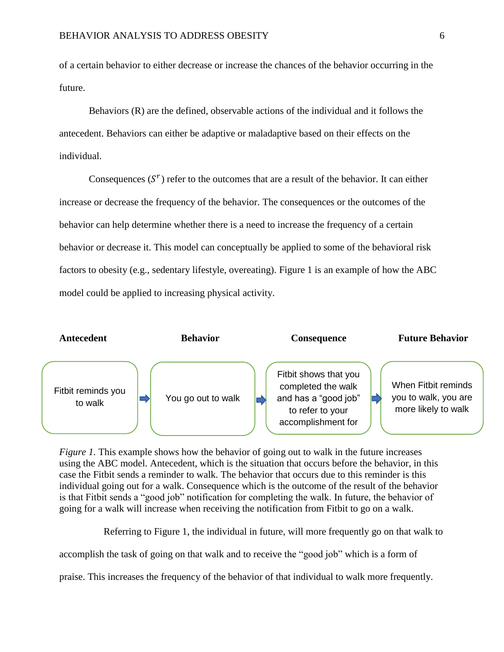of a certain behavior to either decrease or increase the chances of the behavior occurring in the future.

Behaviors (R) are the defined, observable actions of the individual and it follows the antecedent. Behaviors can either be adaptive or maladaptive based on their effects on the individual.

Consequences  $(S<sup>r</sup>)$  refer to the outcomes that are a result of the behavior. It can either increase or decrease the frequency of the behavior. The consequences or the outcomes of the behavior can help determine whether there is a need to increase the frequency of a certain behavior or decrease it. This model can conceptually be applied to some of the behavioral risk factors to obesity (e.g., sedentary lifestyle, overeating). Figure 1 is an example of how the ABC model could be applied to increasing physical activity.



*Figure 1.* This example shows how the behavior of going out to walk in the future increases using the ABC model. Antecedent, which is the situation that occurs before the behavior, in this case the Fitbit sends a reminder to walk. The behavior that occurs due to this reminder is this individual going out for a walk. Consequence which is the outcome of the result of the behavior is that Fitbit sends a "good job" notification for completing the walk. In future, the behavior of going for a walk will increase when receiving the notification from Fitbit to go on a walk.

Referring to Figure 1, the individual in future, will more frequently go on that walk to

accomplish the task of going on that walk and to receive the "good job" which is a form of

praise. This increases the frequency of the behavior of that individual to walk more frequently.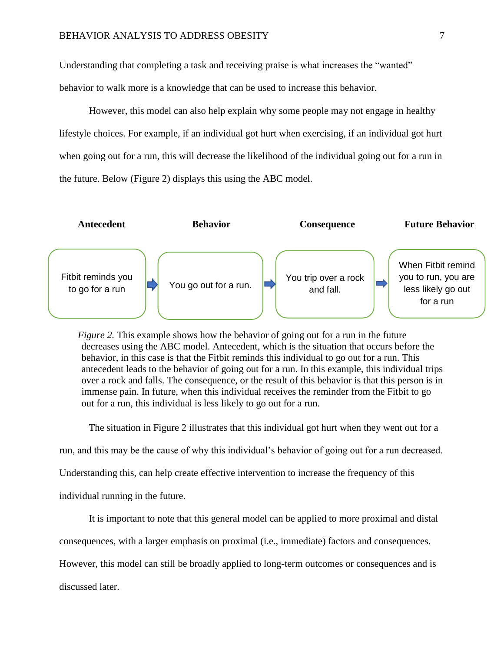Understanding that completing a task and receiving praise is what increases the "wanted" behavior to walk more is a knowledge that can be used to increase this behavior.

However, this model can also help explain why some people may not engage in healthy lifestyle choices. For example, if an individual got hurt when exercising, if an individual got hurt when going out for a run, this will decrease the likelihood of the individual going out for a run in the future. Below (Figure 2) displays this using the ABC model.



*Figure 2.* This example shows how the behavior of going out for a run in the future decreases using the ABC model. Antecedent, which is the situation that occurs before the behavior, in this case is that the Fitbit reminds this individual to go out for a run. This antecedent leads to the behavior of going out for a run. In this example, this individual trips over a rock and falls. The consequence, or the result of this behavior is that this person is in immense pain. In future, when this individual receives the reminder from the Fitbit to go out for a run, this individual is less likely to go out for a run.

The situation in Figure 2 illustrates that this individual got hurt when they went out for a

run, and this may be the cause of why this individual's behavior of going out for a run decreased.

Understanding this, can help create effective intervention to increase the frequency of this

individual running in the future.

It is important to note that this general model can be applied to more proximal and distal

consequences, with a larger emphasis on proximal (i.e., immediate) factors and consequences.

However, this model can still be broadly applied to long-term outcomes or consequences and is

discussed later.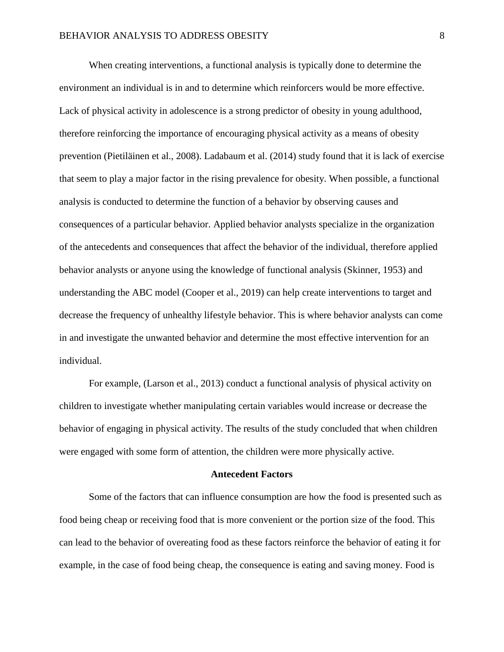When creating interventions, a functional analysis is typically done to determine the environment an individual is in and to determine which reinforcers would be more effective. Lack of physical activity in adolescence is a strong predictor of obesity in young adulthood, therefore reinforcing the importance of encouraging physical activity as a means of obesity prevention (Pietiläinen et al., 2008). Ladabaum et al. (2014) study found that it is lack of exercise that seem to play a major factor in the rising prevalence for obesity. When possible, a functional analysis is conducted to determine the function of a behavior by observing causes and consequences of a particular behavior. Applied behavior analysts specialize in the organization of the antecedents and consequences that affect the behavior of the individual, therefore applied behavior analysts or anyone using the knowledge of functional analysis (Skinner, 1953) and understanding the ABC model (Cooper et al., 2019) can help create interventions to target and decrease the frequency of unhealthy lifestyle behavior. This is where behavior analysts can come in and investigate the unwanted behavior and determine the most effective intervention for an individual.

For example, (Larson et al., 2013) conduct a functional analysis of physical activity on children to investigate whether manipulating certain variables would increase or decrease the behavior of engaging in physical activity. The results of the study concluded that when children were engaged with some form of attention, the children were more physically active.

#### **Antecedent Factors**

Some of the factors that can influence consumption are how the food is presented such as food being cheap or receiving food that is more convenient or the portion size of the food. This can lead to the behavior of overeating food as these factors reinforce the behavior of eating it for example, in the case of food being cheap, the consequence is eating and saving money. Food is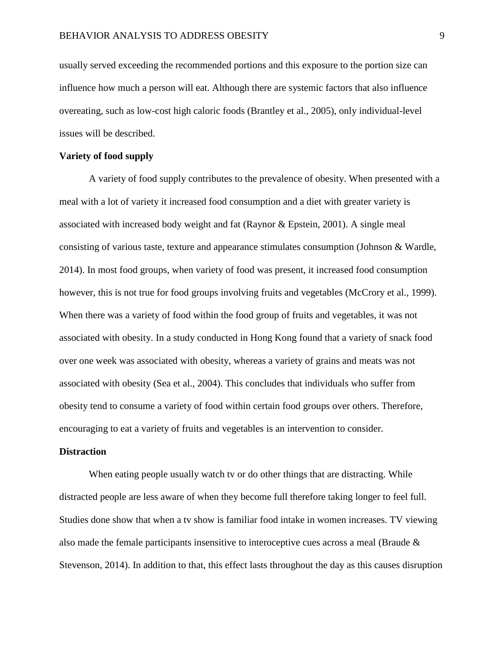usually served exceeding the recommended portions and this exposure to the portion size can influence how much a person will eat. Although there are systemic factors that also influence overeating, such as low-cost high caloric foods (Brantley et al., 2005), only individual-level issues will be described.

### **Variety of food supply**

A variety of food supply contributes to the prevalence of obesity. When presented with a meal with a lot of variety it increased food consumption and a diet with greater variety is associated with increased body weight and fat (Raynor & Epstein, 2001). A single meal consisting of various taste, texture and appearance stimulates consumption (Johnson & Wardle, 2014). In most food groups, when variety of food was present, it increased food consumption however, this is not true for food groups involving fruits and vegetables (McCrory et al., 1999). When there was a variety of food within the food group of fruits and vegetables, it was not associated with obesity. In a study conducted in Hong Kong found that a variety of snack food over one week was associated with obesity, whereas a variety of grains and meats was not associated with obesity (Sea et al., 2004). This concludes that individuals who suffer from obesity tend to consume a variety of food within certain food groups over others. Therefore, encouraging to eat a variety of fruits and vegetables is an intervention to consider.

#### **Distraction**

When eating people usually watch tv or do other things that are distracting. While distracted people are less aware of when they become full therefore taking longer to feel full. Studies done show that when a tv show is familiar food intake in women increases. TV viewing also made the female participants insensitive to interoceptive cues across a meal (Braude & Stevenson, 2014). In addition to that, this effect lasts throughout the day as this causes disruption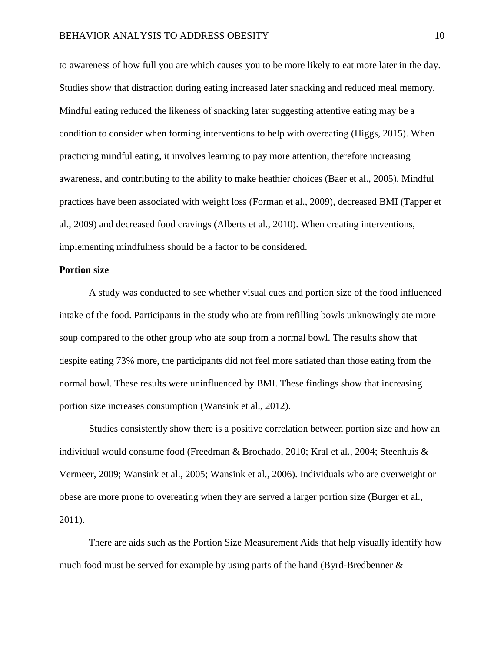to awareness of how full you are which causes you to be more likely to eat more later in the day. Studies show that distraction during eating increased later snacking and reduced meal memory. Mindful eating reduced the likeness of snacking later suggesting attentive eating may be a condition to consider when forming interventions to help with overeating (Higgs, 2015). When practicing mindful eating, it involves learning to pay more attention, therefore increasing awareness, and contributing to the ability to make heathier choices (Baer et al., 2005). Mindful practices have been associated with weight loss (Forman et al., 2009), decreased BMI (Tapper et al., 2009) and decreased food cravings (Alberts et al., 2010). When creating interventions, implementing mindfulness should be a factor to be considered.

#### **Portion size**

A study was conducted to see whether visual cues and portion size of the food influenced intake of the food. Participants in the study who ate from refilling bowls unknowingly ate more soup compared to the other group who ate soup from a normal bowl. The results show that despite eating 73% more, the participants did not feel more satiated than those eating from the normal bowl. These results were uninfluenced by BMI. These findings show that increasing portion size increases consumption (Wansink et al., 2012).

Studies consistently show there is a positive correlation between portion size and how an individual would consume food (Freedman & Brochado, 2010; Kral et al., 2004; Steenhuis & Vermeer, 2009; Wansink et al., 2005; Wansink et al., 2006). Individuals who are overweight or obese are more prone to overeating when they are served a larger portion size (Burger et al., 2011).

There are aids such as the Portion Size Measurement Aids that help visually identify how much food must be served for example by using parts of the hand (Byrd-Bredbenner &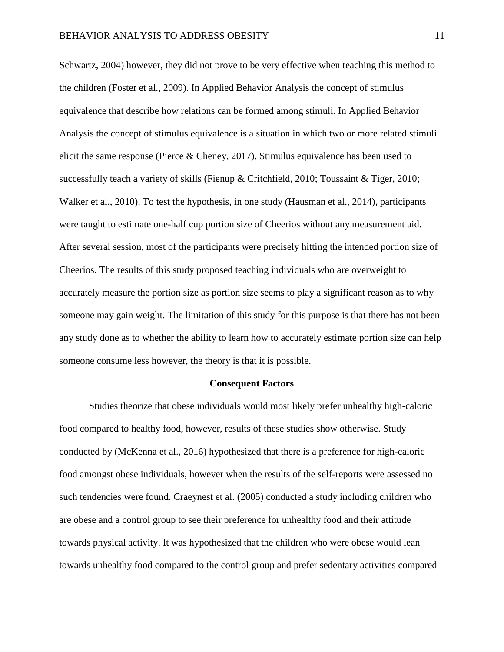Schwartz, 2004) however, they did not prove to be very effective when teaching this method to the children (Foster et al., 2009). In Applied Behavior Analysis the concept of stimulus equivalence that describe how relations can be formed among stimuli. In Applied Behavior Analysis the concept of stimulus equivalence is a situation in which two or more related stimuli elicit the same response (Pierce & Cheney, 2017). Stimulus equivalence has been used to successfully teach a variety of skills (Fienup & Critchfield, 2010; Toussaint & Tiger, 2010; Walker et al., 2010). To test the hypothesis, in one study (Hausman et al., 2014), participants were taught to estimate one-half cup portion size of Cheerios without any measurement aid. After several session, most of the participants were precisely hitting the intended portion size of Cheerios. The results of this study proposed teaching individuals who are overweight to accurately measure the portion size as portion size seems to play a significant reason as to why someone may gain weight. The limitation of this study for this purpose is that there has not been any study done as to whether the ability to learn how to accurately estimate portion size can help someone consume less however, the theory is that it is possible.

#### **Consequent Factors**

Studies theorize that obese individuals would most likely prefer unhealthy high-caloric food compared to healthy food, however, results of these studies show otherwise. Study conducted by (McKenna et al., 2016) hypothesized that there is a preference for high-caloric food amongst obese individuals, however when the results of the self-reports were assessed no such tendencies were found. Craeynest et al. (2005) conducted a study including children who are obese and a control group to see their preference for unhealthy food and their attitude towards physical activity. It was hypothesized that the children who were obese would lean towards unhealthy food compared to the control group and prefer sedentary activities compared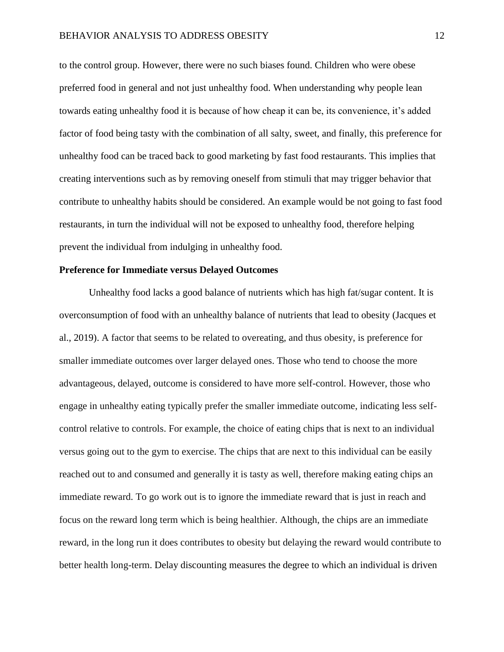to the control group. However, there were no such biases found. Children who were obese preferred food in general and not just unhealthy food. When understanding why people lean towards eating unhealthy food it is because of how cheap it can be, its convenience, it's added factor of food being tasty with the combination of all salty, sweet, and finally, this preference for unhealthy food can be traced back to good marketing by fast food restaurants. This implies that creating interventions such as by removing oneself from stimuli that may trigger behavior that contribute to unhealthy habits should be considered. An example would be not going to fast food restaurants, in turn the individual will not be exposed to unhealthy food, therefore helping prevent the individual from indulging in unhealthy food.

### **Preference for Immediate versus Delayed Outcomes**

Unhealthy food lacks a good balance of nutrients which has high fat/sugar content. It is overconsumption of food with an unhealthy balance of nutrients that lead to obesity (Jacques et al., 2019). A factor that seems to be related to overeating, and thus obesity, is preference for smaller immediate outcomes over larger delayed ones. Those who tend to choose the more advantageous, delayed, outcome is considered to have more self-control. However, those who engage in unhealthy eating typically prefer the smaller immediate outcome, indicating less selfcontrol relative to controls. For example, the choice of eating chips that is next to an individual versus going out to the gym to exercise. The chips that are next to this individual can be easily reached out to and consumed and generally it is tasty as well, therefore making eating chips an immediate reward. To go work out is to ignore the immediate reward that is just in reach and focus on the reward long term which is being healthier. Although, the chips are an immediate reward, in the long run it does contributes to obesity but delaying the reward would contribute to better health long-term. Delay discounting measures the degree to which an individual is driven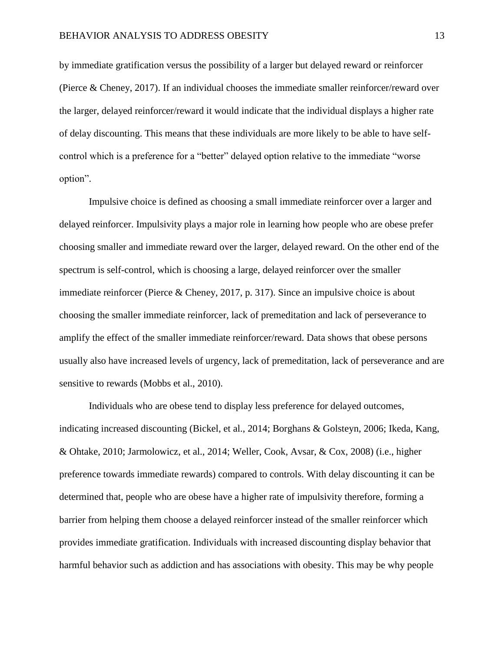by immediate gratification versus the possibility of a larger but delayed reward or reinforcer (Pierce & Cheney, 2017). If an individual chooses the immediate smaller reinforcer/reward over the larger, delayed reinforcer/reward it would indicate that the individual displays a higher rate of delay discounting. This means that these individuals are more likely to be able to have selfcontrol which is a preference for a "better" delayed option relative to the immediate "worse option".

Impulsive choice is defined as choosing a small immediate reinforcer over a larger and delayed reinforcer. Impulsivity plays a major role in learning how people who are obese prefer choosing smaller and immediate reward over the larger, delayed reward. On the other end of the spectrum is self-control, which is choosing a large, delayed reinforcer over the smaller immediate reinforcer (Pierce & Cheney, 2017, p. 317). Since an impulsive choice is about choosing the smaller immediate reinforcer, lack of premeditation and lack of perseverance to amplify the effect of the smaller immediate reinforcer/reward. Data shows that obese persons usually also have increased levels of urgency, lack of premeditation, lack of perseverance and are sensitive to rewards (Mobbs et al., 2010).

Individuals who are obese tend to display less preference for delayed outcomes, indicating increased discounting [\(Bickel, et al., 2014;](https://www.ncbi.nlm.nih.gov/pmc/articles/PMC4277731/#R2) [Borghans & Golsteyn, 2006;](https://www.ncbi.nlm.nih.gov/pmc/articles/PMC4277731/#R4) [Ikeda, Kang,](https://www.ncbi.nlm.nih.gov/pmc/articles/PMC4277731/#R18)  [& Ohtake, 2010;](https://www.ncbi.nlm.nih.gov/pmc/articles/PMC4277731/#R18) [Jarmolowicz, et al., 2014;](https://www.ncbi.nlm.nih.gov/pmc/articles/PMC4277731/#R19) [Weller, Cook, Avsar, & Cox, 2008\)](https://www.ncbi.nlm.nih.gov/pmc/articles/PMC4277731/#R34) (i.e., higher preference towards immediate rewards) compared to controls. With delay discounting it can be determined that, people who are obese have a higher rate of impulsivity therefore, forming a barrier from helping them choose a delayed reinforcer instead of the smaller reinforcer which provides immediate gratification. Individuals with increased discounting display behavior that harmful behavior such as addiction and has associations with obesity. This may be why people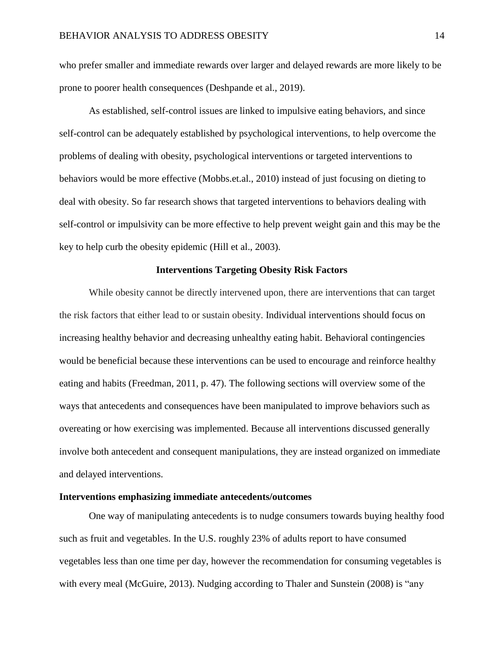who prefer smaller and immediate rewards over larger and delayed rewards are more likely to be prone to poorer health consequences (Deshpande et al., 2019).

As established, self-control issues are linked to impulsive eating behaviors, and since self-control can be adequately established by psychological interventions, to help overcome the problems of dealing with obesity, psychological interventions or targeted interventions to behaviors would be more effective (Mobbs.et.al., 2010) instead of just focusing on dieting to deal with obesity. So far research shows that targeted interventions to behaviors dealing with self-control or impulsivity can be more effective to help prevent weight gain and this may be the key to help curb the obesity epidemic (Hill et al., 2003).

### **Interventions Targeting Obesity Risk Factors**

While obesity cannot be directly intervened upon, there are interventions that can target the risk factors that either lead to or sustain obesity. Individual interventions should focus on increasing healthy behavior and decreasing unhealthy eating habit. Behavioral contingencies would be beneficial because these interventions can be used to encourage and reinforce healthy eating and habits (Freedman, 2011, p. 47). The following sections will overview some of the ways that antecedents and consequences have been manipulated to improve behaviors such as overeating or how exercising was implemented. Because all interventions discussed generally involve both antecedent and consequent manipulations, they are instead organized on immediate and delayed interventions.

#### **Interventions emphasizing immediate antecedents/outcomes**

One way of manipulating antecedents is to nudge consumers towards buying healthy food such as fruit and vegetables. In the U.S. roughly 23% of adults report to have consumed vegetables less than one time per day, however the recommendation for consuming vegetables is with every meal (McGuire, 2013). Nudging according to Thaler and Sunstein (2008) is "any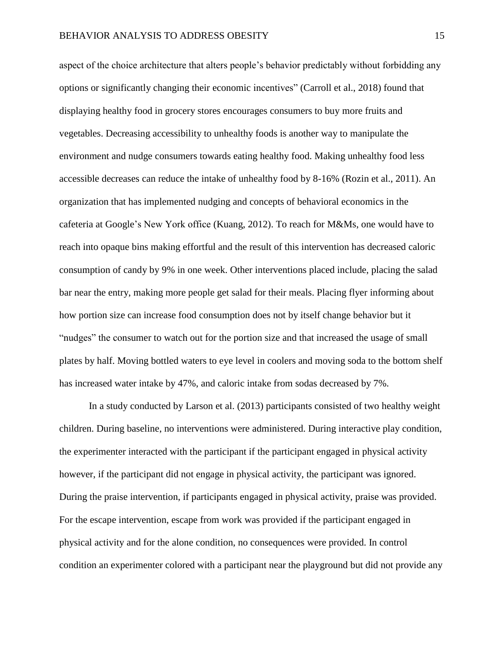aspect of the choice architecture that alters people's behavior predictably without forbidding any options or significantly changing their economic incentives" (Carroll et al., 2018) found that displaying healthy food in grocery stores encourages consumers to buy more fruits and vegetables. Decreasing accessibility to unhealthy foods is another way to manipulate the environment and nudge consumers towards eating healthy food. Making unhealthy food less accessible decreases can reduce the intake of unhealthy food by 8-16% (Rozin et al., 2011). An organization that has implemented nudging and concepts of behavioral economics in the cafeteria at Google's New York office (Kuang, 2012). To reach for M&Ms, one would have to reach into opaque bins making effortful and the result of this intervention has decreased caloric consumption of candy by 9% in one week. Other interventions placed include, placing the salad bar near the entry, making more people get salad for their meals. Placing flyer informing about how portion size can increase food consumption does not by itself change behavior but it "nudges" the consumer to watch out for the portion size and that increased the usage of small plates by half. Moving bottled waters to eye level in coolers and moving soda to the bottom shelf has increased water intake by 47%, and caloric intake from sodas decreased by 7%.

In a study conducted by Larson et al. (2013) participants consisted of two healthy weight children. During baseline, no interventions were administered. During interactive play condition, the experimenter interacted with the participant if the participant engaged in physical activity however, if the participant did not engage in physical activity, the participant was ignored. During the praise intervention, if participants engaged in physical activity, praise was provided. For the escape intervention, escape from work was provided if the participant engaged in physical activity and for the alone condition, no consequences were provided. In control condition an experimenter colored with a participant near the playground but did not provide any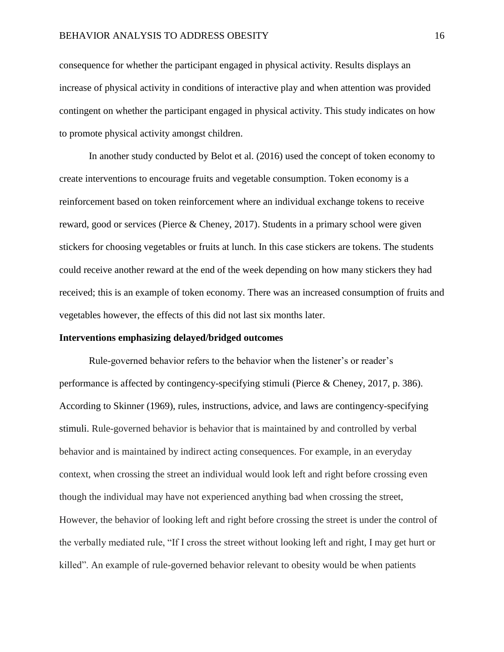consequence for whether the participant engaged in physical activity. Results displays an increase of physical activity in conditions of interactive play and when attention was provided contingent on whether the participant engaged in physical activity. This study indicates on how to promote physical activity amongst children.

In another study conducted by Belot et al. (2016) used the concept of token economy to create interventions to encourage fruits and vegetable consumption. Token economy is a reinforcement based on token reinforcement where an individual exchange tokens to receive reward, good or services (Pierce & Cheney, 2017). Students in a primary school were given stickers for choosing vegetables or fruits at lunch. In this case stickers are tokens. The students could receive another reward at the end of the week depending on how many stickers they had received; this is an example of token economy. There was an increased consumption of fruits and vegetables however, the effects of this did not last six months later.

#### **Interventions emphasizing delayed/bridged outcomes**

Rule-governed behavior refers to the behavior when the listener's or reader's performance is affected by contingency-specifying stimuli (Pierce & Cheney, 2017, p. 386). According to Skinner (1969), rules, instructions, advice, and laws are contingency-specifying stimuli. Rule-governed behavior is behavior that is maintained by and controlled by verbal behavior and is maintained by indirect acting consequences. For example, in an everyday context, when crossing the street an individual would look left and right before crossing even though the individual may have not experienced anything bad when crossing the street, However, the behavior of looking left and right before crossing the street is under the control of the verbally mediated rule, "If I cross the street without looking left and right, I may get hurt or killed". An example of rule-governed behavior relevant to obesity would be when patients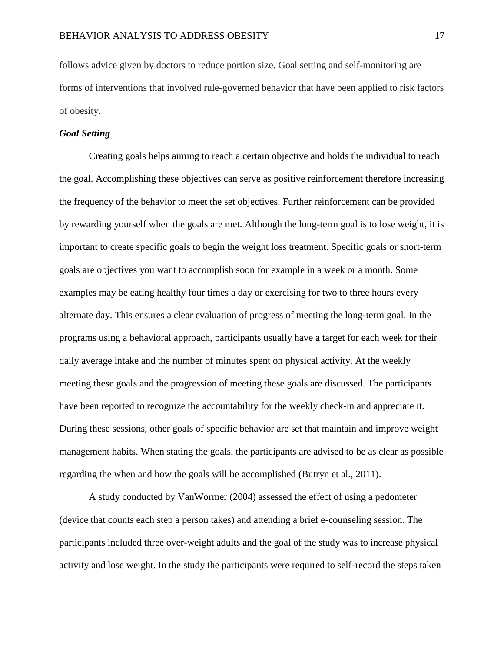follows advice given by doctors to reduce portion size. Goal setting and self-monitoring are forms of interventions that involved rule-governed behavior that have been applied to risk factors of obesity.

### *Goal Setting*

Creating goals helps aiming to reach a certain objective and holds the individual to reach the goal. Accomplishing these objectives can serve as positive reinforcement therefore increasing the frequency of the behavior to meet the set objectives. Further reinforcement can be provided by rewarding yourself when the goals are met. Although the long-term goal is to lose weight, it is important to create specific goals to begin the weight loss treatment. Specific goals or short-term goals are objectives you want to accomplish soon for example in a week or a month. Some examples may be eating healthy four times a day or exercising for two to three hours every alternate day. This ensures a clear evaluation of progress of meeting the long-term goal. In the programs using a behavioral approach, participants usually have a target for each week for their daily average intake and the number of minutes spent on physical activity. At the weekly meeting these goals and the progression of meeting these goals are discussed. The participants have been reported to recognize the accountability for the weekly check-in and appreciate it. During these sessions, other goals of specific behavior are set that maintain and improve weight management habits. When stating the goals, the participants are advised to be as clear as possible regarding the when and how the goals will be accomplished (Butryn et al., 2011).

A study conducted by VanWormer (2004) assessed the effect of using a pedometer (device that counts each step a person takes) and attending a brief e-counseling session. The participants included three over-weight adults and the goal of the study was to increase physical activity and lose weight. In the study the participants were required to self-record the steps taken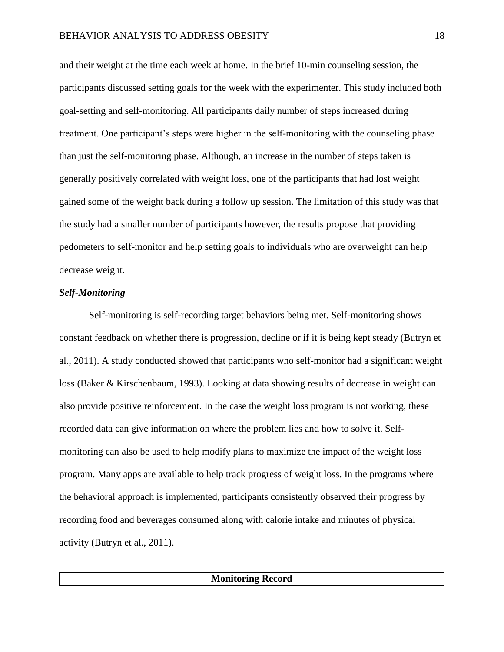and their weight at the time each week at home. In the brief 10-min counseling session, the participants discussed setting goals for the week with the experimenter. This study included both goal-setting and self-monitoring. All participants daily number of steps increased during treatment. One participant's steps were higher in the self-monitoring with the counseling phase than just the self-monitoring phase. Although, an increase in the number of steps taken is generally positively correlated with weight loss, one of the participants that had lost weight gained some of the weight back during a follow up session. The limitation of this study was that the study had a smaller number of participants however, the results propose that providing pedometers to self-monitor and help setting goals to individuals who are overweight can help decrease weight.

#### *Self-Monitoring*

Self-monitoring is self-recording target behaviors being met. Self-monitoring shows constant feedback on whether there is progression, decline or if it is being kept steady (Butryn et al., 2011). A study conducted showed that participants who self-monitor had a significant weight loss (Baker & Kirschenbaum, 1993). Looking at data showing results of decrease in weight can also provide positive reinforcement. In the case the weight loss program is not working, these recorded data can give information on where the problem lies and how to solve it. Selfmonitoring can also be used to help modify plans to maximize the impact of the weight loss program. Many apps are available to help track progress of weight loss. In the programs where the behavioral approach is implemented, participants consistently observed their progress by recording food and beverages consumed along with calorie intake and minutes of physical activity (Butryn et al., 2011).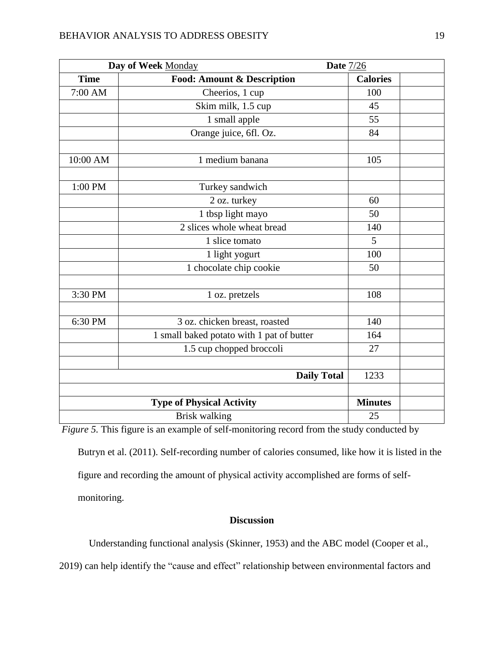| Day of Week Monday               |                                           | Date $7/26$     |  |
|----------------------------------|-------------------------------------------|-----------------|--|
| <b>Time</b>                      | <b>Food: Amount &amp; Description</b>     | <b>Calories</b> |  |
| 7:00 AM                          | Cheerios, 1 cup                           | 100             |  |
|                                  | Skim milk, 1.5 cup                        | 45              |  |
|                                  | 1 small apple                             | 55              |  |
|                                  | Orange juice, 6fl. Oz.                    | 84              |  |
| 10:00 AM                         | 1 medium banana                           | 105             |  |
| 1:00 PM                          | Turkey sandwich                           |                 |  |
|                                  | 2 oz. turkey                              | 60              |  |
|                                  | 1 tbsp light mayo                         | 50              |  |
|                                  | 2 slices whole wheat bread                | 140             |  |
|                                  | 1 slice tomato                            | 5               |  |
|                                  | 1 light yogurt                            | 100             |  |
|                                  | 1 chocolate chip cookie                   | 50              |  |
| 3:30 PM                          | 1 oz. pretzels                            | 108             |  |
| 6:30 PM                          | 3 oz. chicken breast, roasted             | 140             |  |
|                                  | 1 small baked potato with 1 pat of butter | 164             |  |
|                                  | 1.5 cup chopped broccoli                  | 27              |  |
| <b>Daily Total</b>               |                                           | 1233            |  |
| <b>Type of Physical Activity</b> |                                           | <b>Minutes</b>  |  |
| <b>Brisk walking</b>             |                                           | 25              |  |

*Figure 5.* This figure is an example of self-monitoring record from the study conducted by

Butryn et al. (2011). Self-recording number of calories consumed, like how it is listed in the figure and recording the amount of physical activity accomplished are forms of selfmonitoring.

# **Discussion**

Understanding functional analysis (Skinner, 1953) and the ABC model (Cooper et al.,

2019) can help identify the "cause and effect" relationship between environmental factors and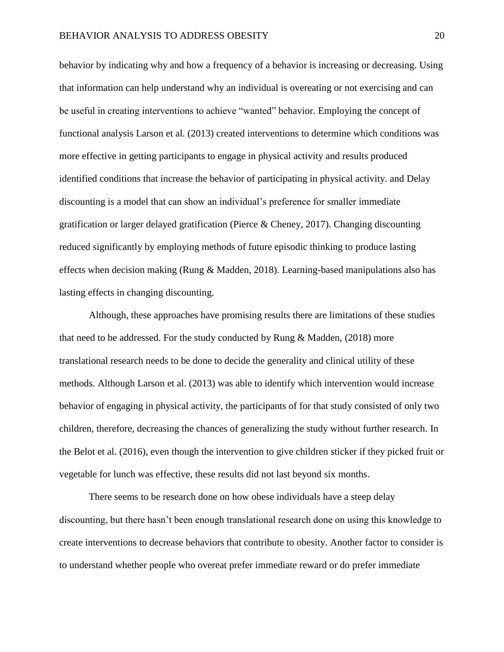behavior by indicating why and how a frequency of a behavior is increasing or decreasing. Using that information can help understand why an individual is overeating or not exercising and can be useful in creating interventions to achieve "wanted" behavior. Employing the concept of functional analysis Larson et al. (2013) created interventions to determine which conditions was more effective in getting participants to engage in physical activity and results produced identified conditions that increase the behavior of participating in physical activity. and Delay discounting is a model that can show an individual's preference for smaller immediate gratification or larger delayed gratification (Pierce & Cheney, 2017). Changing discounting reduced significantly by employing methods of future episodic thinking to produce lasting effects when decision making (Rung & Madden, 2018). Learning-based manipulations also has lasting effects in changing discounting.

Although, these approaches have promising results there are limitations of these studies that need to be addressed. For the study conducted by Rung  $\&$  Madden, (2018) more translational research needs to be done to decide the generality and clinical utility of these methods. Although Larson et al. (2013) was able to identify which intervention would increase behavior of engaging in physical activity, the participants of for that study consisted of only two children, therefore, decreasing the chances of generalizing the study without further research. In the Belot et al. (2016), even though the intervention to give children sticker if they picked fruit or vegetable for lunch was effective, these results did not last beyond six months.

There seems to be research done on how obese individuals have a steep delay discounting, but there hasn't been enough translational research done on using this knowledge to create interventions to decrease behaviors that contribute to obesity. Another factor to consider is to understand whether people who overeat prefer immediate reward or do prefer immediate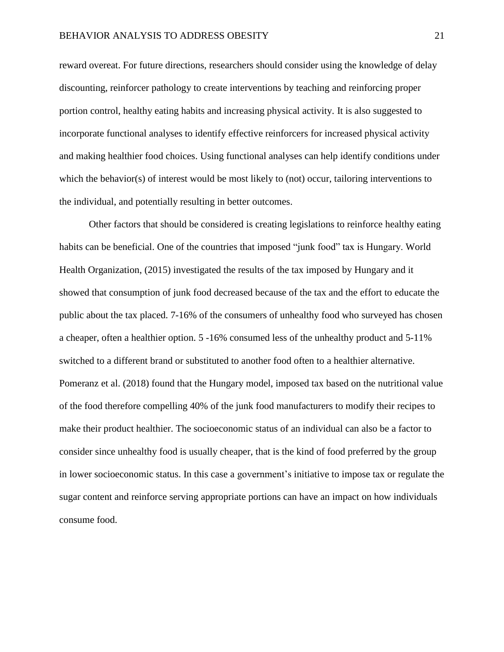reward overeat. For future directions, researchers should consider using the knowledge of delay discounting, reinforcer pathology to create interventions by teaching and reinforcing proper portion control, healthy eating habits and increasing physical activity. It is also suggested to incorporate functional analyses to identify effective reinforcers for increased physical activity and making healthier food choices. Using functional analyses can help identify conditions under which the behavior(s) of interest would be most likely to (not) occur, tailoring interventions to the individual, and potentially resulting in better outcomes.

Other factors that should be considered is creating legislations to reinforce healthy eating habits can be beneficial. One of the countries that imposed "junk food" tax is Hungary. World Health Organization, (2015) investigated the results of the tax imposed by Hungary and it showed that consumption of junk food decreased because of the tax and the effort to educate the public about the tax placed. 7-16% of the consumers of unhealthy food who surveyed has chosen a cheaper, often a healthier option. 5 -16% consumed less of the unhealthy product and 5-11% switched to a different brand or substituted to another food often to a healthier alternative. Pomeranz et al. (2018) found that the Hungary model, imposed tax based on the nutritional value of the food therefore compelling 40% of the junk food manufacturers to modify their recipes to make their product healthier. The socioeconomic status of an individual can also be a factor to consider since unhealthy food is usually cheaper, that is the kind of food preferred by the group in lower socioeconomic status. In this case a government's initiative to impose tax or regulate the sugar content and reinforce serving appropriate portions can have an impact on how individuals consume food.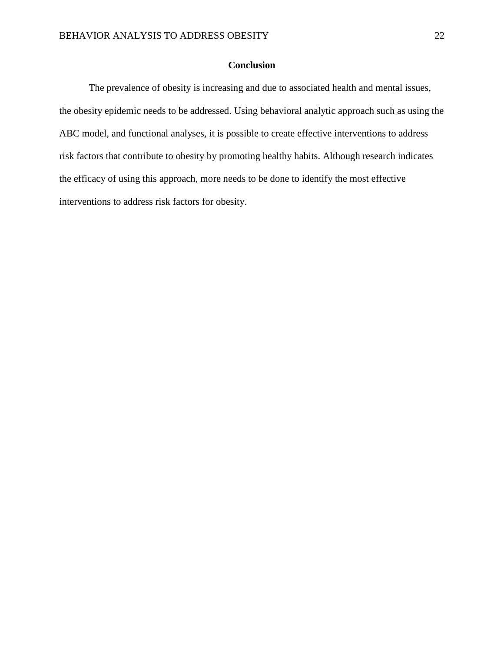# **Conclusion**

The prevalence of obesity is increasing and due to associated health and mental issues, the obesity epidemic needs to be addressed. Using behavioral analytic approach such as using the ABC model, and functional analyses, it is possible to create effective interventions to address risk factors that contribute to obesity by promoting healthy habits. Although research indicates the efficacy of using this approach, more needs to be done to identify the most effective interventions to address risk factors for obesity.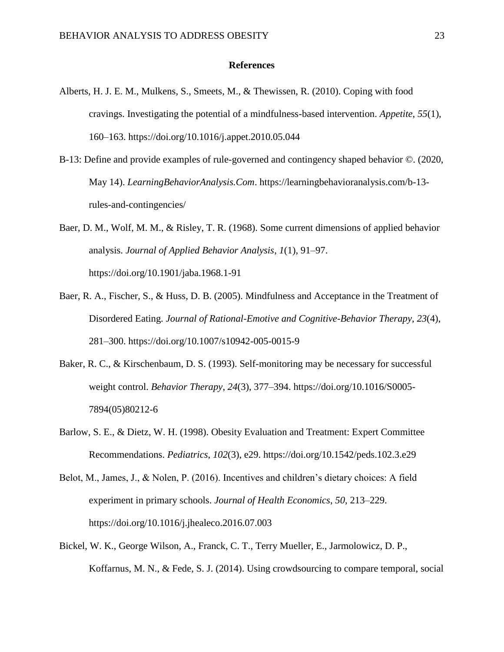#### **References**

- Alberts, H. J. E. M., Mulkens, S., Smeets, M., & Thewissen, R. (2010). Coping with food cravings. Investigating the potential of a mindfulness-based intervention. *Appetite*, *55*(1), 160–163. https://doi.org/10.1016/j.appet.2010.05.044
- B-13: Define and provide examples of rule-governed and contingency shaped behavior ©. (2020, May 14). *LearningBehaviorAnalysis.Com*. https://learningbehavioranalysis.com/b-13 rules-and-contingencies/
- Baer, D. M., Wolf, M. M., & Risley, T. R. (1968). Some current dimensions of applied behavior analysis. *Journal of Applied Behavior Analysis*, *1*(1), 91–97. https://doi.org/10.1901/jaba.1968.1-91
- Baer, R. A., Fischer, S., & Huss, D. B. (2005). Mindfulness and Acceptance in the Treatment of Disordered Eating. *Journal of Rational-Emotive and Cognitive-Behavior Therapy*, *23*(4), 281–300. https://doi.org/10.1007/s10942-005-0015-9
- Baker, R. C., & Kirschenbaum, D. S. (1993). Self-monitoring may be necessary for successful weight control. *Behavior Therapy*, *24*(3), 377–394. https://doi.org/10.1016/S0005- 7894(05)80212-6
- Barlow, S. E., & Dietz, W. H. (1998). Obesity Evaluation and Treatment: Expert Committee Recommendations. *Pediatrics*, *102*(3), e29. https://doi.org/10.1542/peds.102.3.e29
- Belot, M., James, J., & Nolen, P. (2016). Incentives and children's dietary choices: A field experiment in primary schools. *Journal of Health Economics*, *50*, 213–229. https://doi.org/10.1016/j.jhealeco.2016.07.003
- Bickel, W. K., George Wilson, A., Franck, C. T., Terry Mueller, E., Jarmolowicz, D. P., Koffarnus, M. N., & Fede, S. J. (2014). Using crowdsourcing to compare temporal, social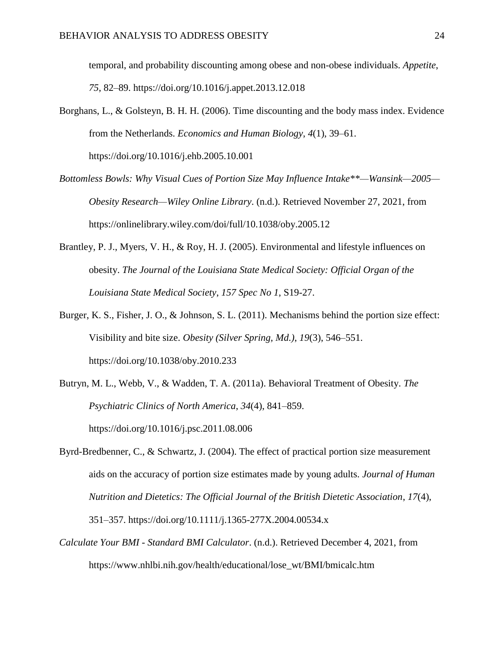temporal, and probability discounting among obese and non-obese individuals. *Appetite*, *75*, 82–89. https://doi.org/10.1016/j.appet.2013.12.018

- Borghans, L., & Golsteyn, B. H. H. (2006). Time discounting and the body mass index. Evidence from the Netherlands. *Economics and Human Biology*, *4*(1), 39–61. https://doi.org/10.1016/j.ehb.2005.10.001
- *Bottomless Bowls: Why Visual Cues of Portion Size May Influence Intake\*\*—Wansink—2005— Obesity Research—Wiley Online Library*. (n.d.). Retrieved November 27, 2021, from https://onlinelibrary.wiley.com/doi/full/10.1038/oby.2005.12
- Brantley, P. J., Myers, V. H., & Roy, H. J. (2005). Environmental and lifestyle influences on obesity. *The Journal of the Louisiana State Medical Society: Official Organ of the Louisiana State Medical Society*, *157 Spec No 1*, S19-27.
- Burger, K. S., Fisher, J. O., & Johnson, S. L. (2011). Mechanisms behind the portion size effect: Visibility and bite size. *Obesity (Silver Spring, Md.)*, *19*(3), 546–551. https://doi.org/10.1038/oby.2010.233
- Butryn, M. L., Webb, V., & Wadden, T. A. (2011a). Behavioral Treatment of Obesity. *The Psychiatric Clinics of North America*, *34*(4), 841–859. https://doi.org/10.1016/j.psc.2011.08.006
- Byrd-Bredbenner, C., & Schwartz, J. (2004). The effect of practical portion size measurement aids on the accuracy of portion size estimates made by young adults. *Journal of Human Nutrition and Dietetics: The Official Journal of the British Dietetic Association*, *17*(4), 351–357. https://doi.org/10.1111/j.1365-277X.2004.00534.x
- *Calculate Your BMI - Standard BMI Calculator*. (n.d.). Retrieved December 4, 2021, from https://www.nhlbi.nih.gov/health/educational/lose\_wt/BMI/bmicalc.htm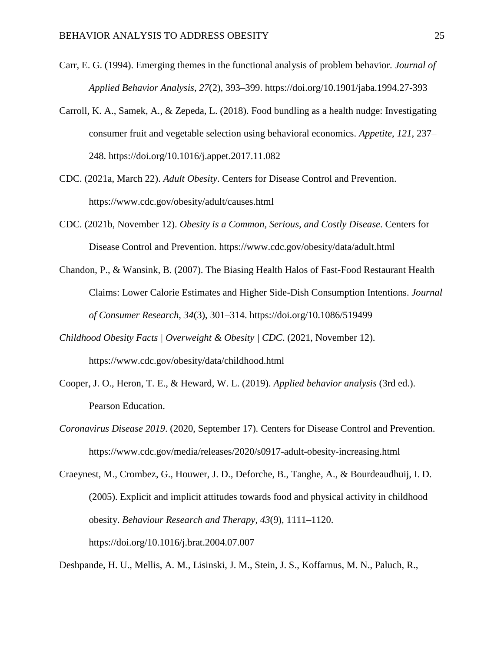- Carr, E. G. (1994). Emerging themes in the functional analysis of problem behavior. *Journal of Applied Behavior Analysis*, *27*(2), 393–399. https://doi.org/10.1901/jaba.1994.27-393
- Carroll, K. A., Samek, A., & Zepeda, L. (2018). Food bundling as a health nudge: Investigating consumer fruit and vegetable selection using behavioral economics. *Appetite*, *121*, 237– 248. https://doi.org/10.1016/j.appet.2017.11.082
- CDC. (2021a, March 22). *Adult Obesity*. Centers for Disease Control and Prevention. https://www.cdc.gov/obesity/adult/causes.html
- CDC. (2021b, November 12). *Obesity is a Common, Serious, and Costly Disease*. Centers for Disease Control and Prevention. https://www.cdc.gov/obesity/data/adult.html
- Chandon, P., & Wansink, B. (2007). The Biasing Health Halos of Fast-Food Restaurant Health Claims: Lower Calorie Estimates and Higher Side-Dish Consumption Intentions. *Journal of Consumer Research*, *34*(3), 301–314. https://doi.org/10.1086/519499
- *Childhood Obesity Facts | Overweight & Obesity | CDC*. (2021, November 12). https://www.cdc.gov/obesity/data/childhood.html
- Cooper, J. O., Heron, T. E., & Heward, W. L. (2019). *Applied behavior analysis* (3rd ed.). Pearson Education.
- *Coronavirus Disease 2019*. (2020, September 17). Centers for Disease Control and Prevention. https://www.cdc.gov/media/releases/2020/s0917-adult-obesity-increasing.html
- Craeynest, M., Crombez, G., Houwer, J. D., Deforche, B., Tanghe, A., & Bourdeaudhuij, I. D. (2005). Explicit and implicit attitudes towards food and physical activity in childhood obesity. *Behaviour Research and Therapy*, *43*(9), 1111–1120. https://doi.org/10.1016/j.brat.2004.07.007

Deshpande, H. U., Mellis, A. M., Lisinski, J. M., Stein, J. S., Koffarnus, M. N., Paluch, R.,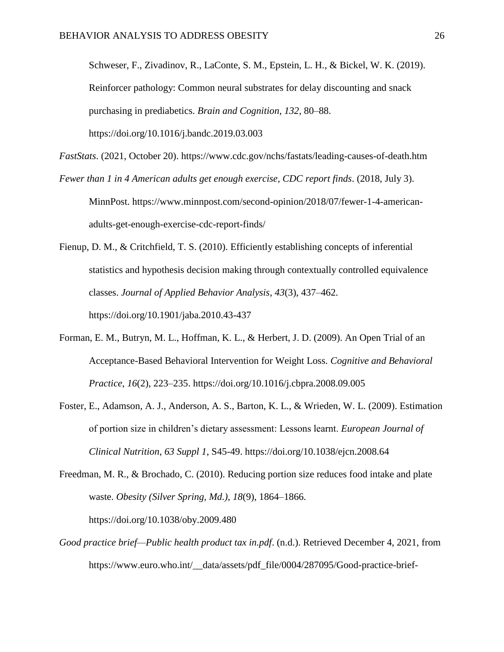Schweser, F., Zivadinov, R., LaConte, S. M., Epstein, L. H., & Bickel, W. K. (2019). Reinforcer pathology: Common neural substrates for delay discounting and snack purchasing in prediabetics. *Brain and Cognition*, *132*, 80–88. https://doi.org/10.1016/j.bandc.2019.03.003

*FastStats*. (2021, October 20). https://www.cdc.gov/nchs/fastats/leading-causes-of-death.htm *Fewer than 1 in 4 American adults get enough exercise, CDC report finds*. (2018, July 3).

MinnPost. https://www.minnpost.com/second-opinion/2018/07/fewer-1-4-americanadults-get-enough-exercise-cdc-report-finds/

Fienup, D. M., & Critchfield, T. S. (2010). Efficiently establishing concepts of inferential statistics and hypothesis decision making through contextually controlled equivalence classes. *Journal of Applied Behavior Analysis*, *43*(3), 437–462. https://doi.org/10.1901/jaba.2010.43-437

- Forman, E. M., Butryn, M. L., Hoffman, K. L., & Herbert, J. D. (2009). An Open Trial of an Acceptance-Based Behavioral Intervention for Weight Loss. *Cognitive and Behavioral Practice*, *16*(2), 223–235. https://doi.org/10.1016/j.cbpra.2008.09.005
- Foster, E., Adamson, A. J., Anderson, A. S., Barton, K. L., & Wrieden, W. L. (2009). Estimation of portion size in children's dietary assessment: Lessons learnt. *European Journal of Clinical Nutrition*, *63 Suppl 1*, S45-49. https://doi.org/10.1038/ejcn.2008.64

Freedman, M. R., & Brochado, C. (2010). Reducing portion size reduces food intake and plate waste. *Obesity (Silver Spring, Md.)*, *18*(9), 1864–1866. https://doi.org/10.1038/oby.2009.480

*Good practice brief—Public health product tax in.pdf*. (n.d.). Retrieved December 4, 2021, from https://www.euro.who.int/\_\_data/assets/pdf\_file/0004/287095/Good-practice-brief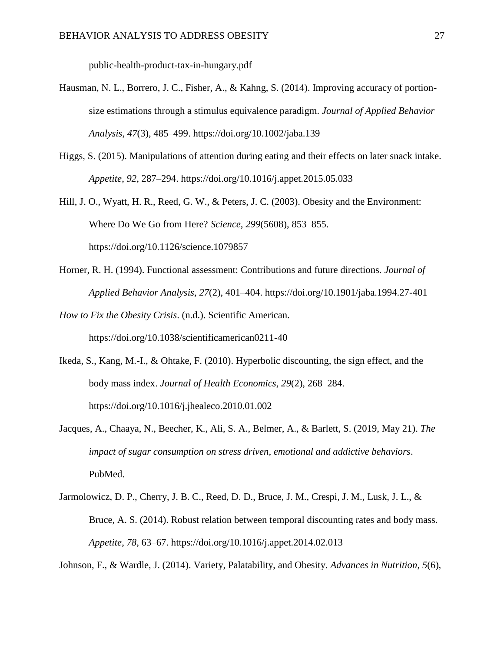public-health-product-tax-in-hungary.pdf

- Hausman, N. L., Borrero, J. C., Fisher, A., & Kahng, S. (2014). Improving accuracy of portionsize estimations through a stimulus equivalence paradigm. *Journal of Applied Behavior Analysis*, *47*(3), 485–499. https://doi.org/10.1002/jaba.139
- Higgs, S. (2015). Manipulations of attention during eating and their effects on later snack intake. *Appetite*, *92*, 287–294. https://doi.org/10.1016/j.appet.2015.05.033
- Hill, J. O., Wyatt, H. R., Reed, G. W., & Peters, J. C. (2003). Obesity and the Environment: Where Do We Go from Here? *Science*, *299*(5608), 853–855. https://doi.org/10.1126/science.1079857
- Horner, R. H. (1994). Functional assessment: Contributions and future directions. *Journal of Applied Behavior Analysis*, *27*(2), 401–404. https://doi.org/10.1901/jaba.1994.27-401
- *How to Fix the Obesity Crisis*. (n.d.). Scientific American. https://doi.org/10.1038/scientificamerican0211-40
- Ikeda, S., Kang, M.-I., & Ohtake, F. (2010). Hyperbolic discounting, the sign effect, and the body mass index. *Journal of Health Economics*, *29*(2), 268–284. https://doi.org/10.1016/j.jhealeco.2010.01.002
- Jacques, A., Chaaya, N., Beecher, K., Ali, S. A., Belmer, A., & Barlett, S. (2019, May 21). *The impact of sugar consumption on stress driven, emotional and addictive behaviors*. PubMed.
- Jarmolowicz, D. P., Cherry, J. B. C., Reed, D. D., Bruce, J. M., Crespi, J. M., Lusk, J. L., & Bruce, A. S. (2014). Robust relation between temporal discounting rates and body mass. *Appetite*, *78*, 63–67. https://doi.org/10.1016/j.appet.2014.02.013

Johnson, F., & Wardle, J. (2014). Variety, Palatability, and Obesity. *Advances in Nutrition*, *5*(6),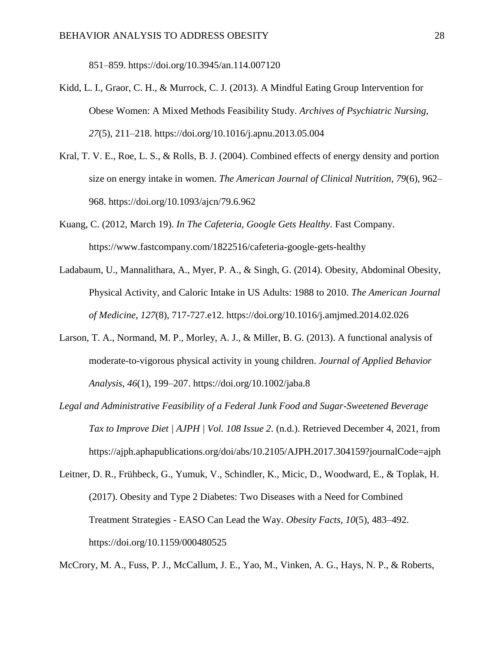851–859. https://doi.org/10.3945/an.114.007120

- Kidd, L. I., Graor, C. H., & Murrock, C. J. (2013). A Mindful Eating Group Intervention for Obese Women: A Mixed Methods Feasibility Study. *Archives of Psychiatric Nursing*, *27*(5), 211–218. https://doi.org/10.1016/j.apnu.2013.05.004
- Kral, T. V. E., Roe, L. S., & Rolls, B. J. (2004). Combined effects of energy density and portion size on energy intake in women. *The American Journal of Clinical Nutrition*, *79*(6), 962– 968. https://doi.org/10.1093/ajcn/79.6.962
- Kuang, C. (2012, March 19). *In The Cafeteria, Google Gets Healthy*. Fast Company. https://www.fastcompany.com/1822516/cafeteria-google-gets-healthy
- Ladabaum, U., Mannalithara, A., Myer, P. A., & Singh, G. (2014). Obesity, Abdominal Obesity, Physical Activity, and Caloric Intake in US Adults: 1988 to 2010. *The American Journal of Medicine*, *127*(8), 717-727.e12. https://doi.org/10.1016/j.amjmed.2014.02.026
- Larson, T. A., Normand, M. P., Morley, A. J., & Miller, B. G. (2013). A functional analysis of moderate-to-vigorous physical activity in young children. *Journal of Applied Behavior Analysis*, *46*(1), 199–207. https://doi.org/10.1002/jaba.8
- *Legal and Administrative Feasibility of a Federal Junk Food and Sugar-Sweetened Beverage Tax to Improve Diet | AJPH | Vol. 108 Issue 2*. (n.d.). Retrieved December 4, 2021, from https://ajph.aphapublications.org/doi/abs/10.2105/AJPH.2017.304159?journalCode=ajph
- Leitner, D. R., Frühbeck, G., Yumuk, V., Schindler, K., Micic, D., Woodward, E., & Toplak, H. (2017). Obesity and Type 2 Diabetes: Two Diseases with a Need for Combined Treatment Strategies - EASO Can Lead the Way. *Obesity Facts*, *10*(5), 483–492. https://doi.org/10.1159/000480525

McCrory, M. A., Fuss, P. J., McCallum, J. E., Yao, M., Vinken, A. G., Hays, N. P., & Roberts,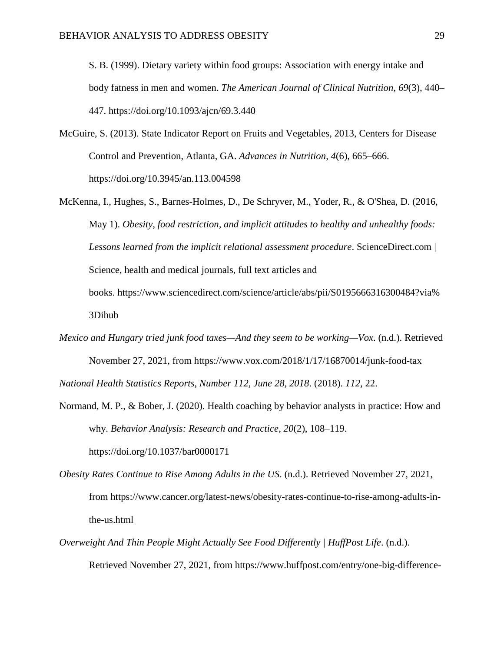S. B. (1999). Dietary variety within food groups: Association with energy intake and body fatness in men and women. *The American Journal of Clinical Nutrition*, *69*(3), 440– 447. https://doi.org/10.1093/ajcn/69.3.440

- McGuire, S. (2013). State Indicator Report on Fruits and Vegetables, 2013, Centers for Disease Control and Prevention, Atlanta, GA. *Advances in Nutrition*, *4*(6), 665–666. https://doi.org/10.3945/an.113.004598
- McKenna, I., Hughes, S., Barnes-Holmes, D., De Schryver, M., Yoder, R., & O'Shea, D. (2016, May 1). *Obesity, food restriction, and implicit attitudes to healthy and unhealthy foods: Lessons learned from the implicit relational assessment procedure*. ScienceDirect.com | Science, health and medical journals, full text articles and books. [https://www.sciencedirect.com/science/article/abs/pii/S0195666316300484?via%](https://www.sciencedirect.com/science/article/abs/pii/S0195666316300484?via%3Dihub) [3Dihub](https://www.sciencedirect.com/science/article/abs/pii/S0195666316300484?via%3Dihub)
- *Mexico and Hungary tried junk food taxes—And they seem to be working—Vox*. (n.d.). Retrieved November 27, 2021, from https://www.vox.com/2018/1/17/16870014/junk-food-tax

*National Health Statistics Reports, Number 112, June 28, 2018*. (2018). *112*, 22.

Normand, M. P., & Bober, J. (2020). Health coaching by behavior analysts in practice: How and why. *Behavior Analysis: Research and Practice*, *20*(2), 108–119.

https://doi.org/10.1037/bar0000171

- *Obesity Rates Continue to Rise Among Adults in the US*. (n.d.). Retrieved November 27, 2021, from https://www.cancer.org/latest-news/obesity-rates-continue-to-rise-among-adults-inthe-us.html
- *Overweight And Thin People Might Actually See Food Differently | HuffPost Life*. (n.d.). Retrieved November 27, 2021, from https://www.huffpost.com/entry/one-big-difference-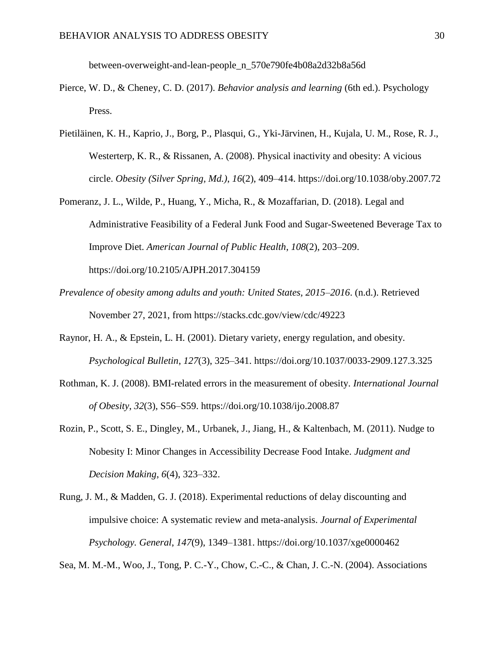between-overweight-and-lean-people\_n\_570e790fe4b08a2d32b8a56d

- Pierce, W. D., & Cheney, C. D. (2017). *Behavior analysis and learning* (6th ed.). Psychology Press.
- Pietiläinen, K. H., Kaprio, J., Borg, P., Plasqui, G., Yki-Järvinen, H., Kujala, U. M., Rose, R. J., Westerterp, K. R., & Rissanen, A. (2008). Physical inactivity and obesity: A vicious circle. *Obesity (Silver Spring, Md.)*, *16*(2), 409–414. https://doi.org/10.1038/oby.2007.72
- Pomeranz, J. L., Wilde, P., Huang, Y., Micha, R., & Mozaffarian, D. (2018). Legal and Administrative Feasibility of a Federal Junk Food and Sugar-Sweetened Beverage Tax to Improve Diet. *American Journal of Public Health*, *108*(2), 203–209. https://doi.org/10.2105/AJPH.2017.304159
- *Prevalence of obesity among adults and youth: United States, 2015–2016*. (n.d.). Retrieved November 27, 2021, from https://stacks.cdc.gov/view/cdc/49223
- Raynor, H. A., & Epstein, L. H. (2001). Dietary variety, energy regulation, and obesity. *Psychological Bulletin*, *127*(3), 325–341. https://doi.org/10.1037/0033-2909.127.3.325
- Rothman, K. J. (2008). BMI-related errors in the measurement of obesity. *International Journal of Obesity*, *32*(3), S56–S59. https://doi.org/10.1038/ijo.2008.87
- Rozin, P., Scott, S. E., Dingley, M., Urbanek, J., Jiang, H., & Kaltenbach, M. (2011). Nudge to Nobesity I: Minor Changes in Accessibility Decrease Food Intake. *Judgment and Decision Making*, *6*(4), 323–332.
- Rung, J. M., & Madden, G. J. (2018). Experimental reductions of delay discounting and impulsive choice: A systematic review and meta-analysis. *Journal of Experimental Psychology. General*, *147*(9), 1349–1381. https://doi.org/10.1037/xge0000462

Sea, M. M.-M., Woo, J., Tong, P. C.-Y., Chow, C.-C., & Chan, J. C.-N. (2004). Associations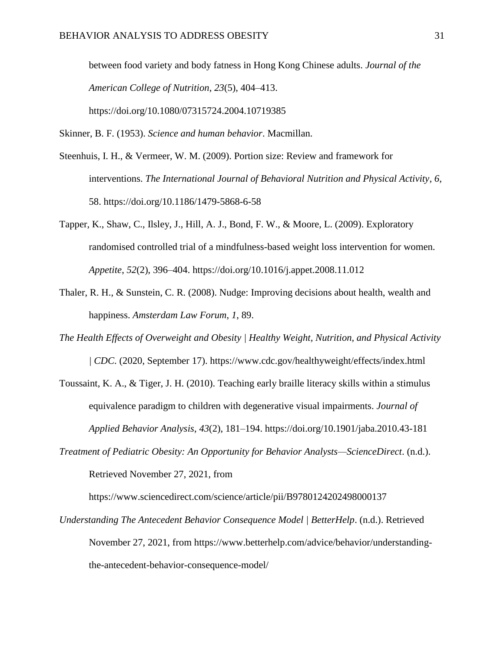between food variety and body fatness in Hong Kong Chinese adults. *Journal of the American College of Nutrition*, *23*(5), 404–413. https://doi.org/10.1080/07315724.2004.10719385

Skinner, B. F. (1953). *Science and human behavior*. Macmillan.

- Steenhuis, I. H., & Vermeer, W. M. (2009). Portion size: Review and framework for interventions. *The International Journal of Behavioral Nutrition and Physical Activity*, *6*, 58. https://doi.org/10.1186/1479-5868-6-58
- Tapper, K., Shaw, C., Ilsley, J., Hill, A. J., Bond, F. W., & Moore, L. (2009). Exploratory randomised controlled trial of a mindfulness-based weight loss intervention for women. *Appetite*, *52*(2), 396–404. https://doi.org/10.1016/j.appet.2008.11.012
- Thaler, R. H., & Sunstein, C. R. (2008). Nudge: Improving decisions about health, wealth and happiness. *Amsterdam Law Forum*, *1*, 89.
- *The Health Effects of Overweight and Obesity | Healthy Weight, Nutrition, and Physical Activity | CDC*. (2020, September 17). https://www.cdc.gov/healthyweight/effects/index.html
- Toussaint, K. A., & Tiger, J. H. (2010). Teaching early braille literacy skills within a stimulus equivalence paradigm to children with degenerative visual impairments. *Journal of Applied Behavior Analysis*, *43*(2), 181–194. https://doi.org/10.1901/jaba.2010.43-181
- *Treatment of Pediatric Obesity: An Opportunity for Behavior Analysts—ScienceDirect*. (n.d.). Retrieved November 27, 2021, from

https://www.sciencedirect.com/science/article/pii/B9780124202498000137

*Understanding The Antecedent Behavior Consequence Model | BetterHelp*. (n.d.). Retrieved November 27, 2021, from https://www.betterhelp.com/advice/behavior/understandingthe-antecedent-behavior-consequence-model/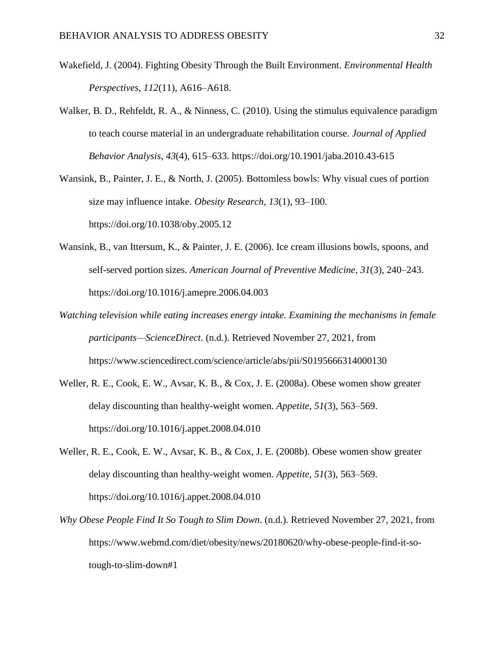- Wakefield, J. (2004). Fighting Obesity Through the Built Environment. *Environmental Health Perspectives*, *112*(11), A616–A618.
- Walker, B. D., Rehfeldt, R. A., & Ninness, C. (2010). Using the stimulus equivalence paradigm to teach course material in an undergraduate rehabilitation course. *Journal of Applied Behavior Analysis*, *43*(4), 615–633. https://doi.org/10.1901/jaba.2010.43-615
- Wansink, B., Painter, J. E., & North, J. (2005). Bottomless bowls: Why visual cues of portion size may influence intake. *Obesity Research*, *13*(1), 93–100. https://doi.org/10.1038/oby.2005.12
- Wansink, B., van Ittersum, K., & Painter, J. E. (2006). Ice cream illusions bowls, spoons, and self-served portion sizes. *American Journal of Preventive Medicine*, *31*(3), 240–243. https://doi.org/10.1016/j.amepre.2006.04.003
- *Watching television while eating increases energy intake. Examining the mechanisms in female participants—ScienceDirect*. (n.d.). Retrieved November 27, 2021, from https://www.sciencedirect.com/science/article/abs/pii/S0195666314000130
- Weller, R. E., Cook, E. W., Avsar, K. B., & Cox, J. E. (2008a). Obese women show greater delay discounting than healthy-weight women. *Appetite*, *51*(3), 563–569. https://doi.org/10.1016/j.appet.2008.04.010
- Weller, R. E., Cook, E. W., Avsar, K. B., & Cox, J. E. (2008b). Obese women show greater delay discounting than healthy-weight women. *Appetite*, *51*(3), 563–569. https://doi.org/10.1016/j.appet.2008.04.010
- *Why Obese People Find It So Tough to Slim Down*. (n.d.). Retrieved November 27, 2021, from https://www.webmd.com/diet/obesity/news/20180620/why-obese-people-find-it-sotough-to-slim-down#1